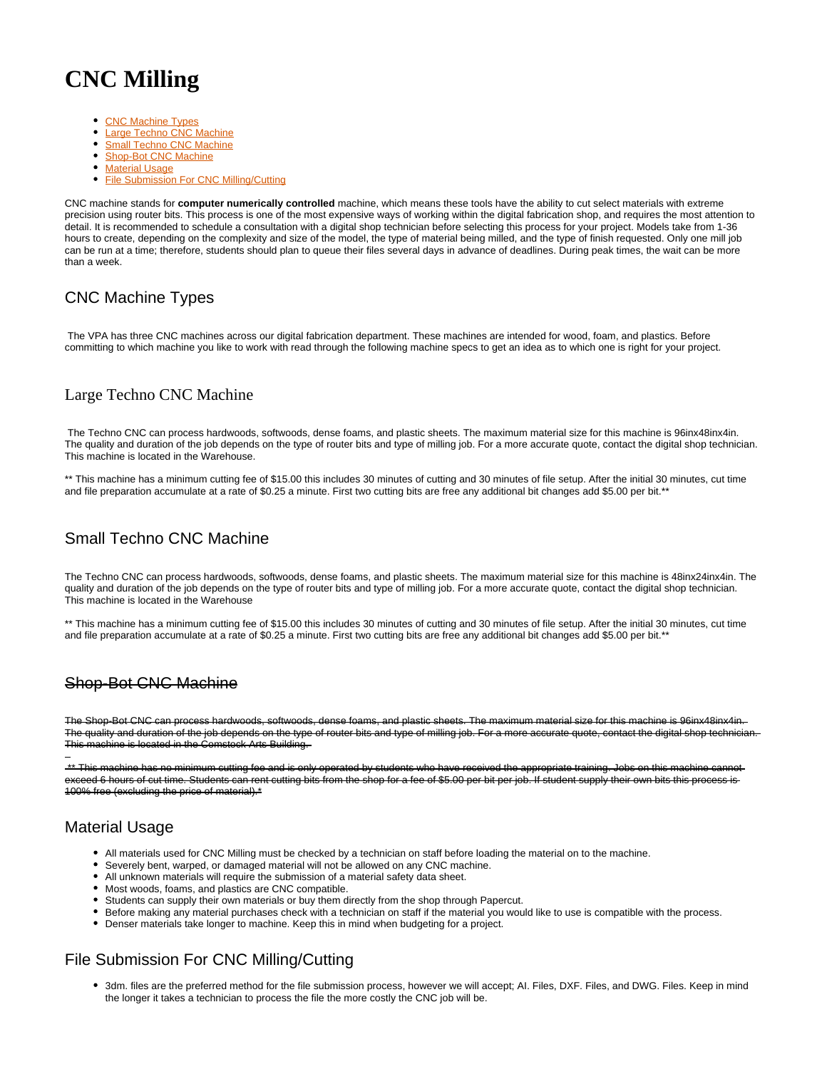# **CNC Milling**

- [CNC Machine Types](#page-0-0)
- $\bullet$ [Large Techno CNC Machine](#page-0-1)
- **[Small Techno CNC Machine](#page-0-2)**
- $\bullet$ [Shop-Bot CNC Machine](#page-0-3)
- [Material Usage](#page-0-4)
- [File Submission For CNC Milling/Cutting](#page-0-5)

CNC machine stands for **computer numerically controlled** machine, which means these tools have the ability to cut select materials with extreme precision using router bits. This process is one of the most expensive ways of working within the digital fabrication shop, and requires the most attention to detail. It is recommended to schedule a consultation with a digital shop technician before selecting this process for your project. Models take from 1-36 hours to create, depending on the complexity and size of the model, the type of material being milled, and the type of finish requested. Only one mill job can be run at a time; therefore, students should plan to queue their files several days in advance of deadlines. During peak times, the wait can be more than a week.

## <span id="page-0-0"></span>CNC Machine Types

 The VPA has three CNC machines across our digital fabrication department. These machines are intended for wood, foam, and plastics. Before committing to which machine you like to work with read through the following machine specs to get an idea as to which one is right for your project.

#### <span id="page-0-1"></span>Large Techno CNC Machine

 The Techno CNC can process hardwoods, softwoods, dense foams, and plastic sheets. The maximum material size for this machine is 96inx48inx4in. The quality and duration of the job depends on the type of router bits and type of milling job. For a more accurate quote, contact the digital shop technician. This machine is located in the Warehouse.

\*\* This machine has a minimum cutting fee of \$15.00 this includes 30 minutes of cutting and 30 minutes of file setup. After the initial 30 minutes, cut time and file preparation accumulate at a rate of \$0.25 a minute. First two cutting bits are free any additional bit changes add \$5.00 per bit.\*

## <span id="page-0-2"></span>Small Techno CNC Machine

The Techno CNC can process hardwoods, softwoods, dense foams, and plastic sheets. The maximum material size for this machine is 48inx24inx4in. The quality and duration of the job depends on the type of router bits and type of milling job. For a more accurate quote, contact the digital shop technician. This machine is located in the Warehouse

\*\* This machine has a minimum cutting fee of \$15.00 this includes 30 minutes of cutting and 30 minutes of file setup. After the initial 30 minutes, cut time and file preparation accumulate at a rate of \$0.25 a minute. First two cutting bits are free any additional bit changes add \$5.00 per bit.\*

#### <span id="page-0-3"></span>Shop-Bot CNC Machine

The Shop-Bot CNC can process hardwoods, softwoods, dense foams, and plastic sheets. The maximum material size for this machine is 96inx48inx4in. The quality and duration of the job depends on the type of router bits and type of milling job. For a more accurate quote, contact the digital shop technicia This machine is located in the Comstock Arts Building.

\*\* This machine has no minimum cutting fee and is only operated by students who have received the appropriate training. Jobs on this machine cannot exceed 6 hours of cut time. Students can rent cutting bits from the shop for a fee of \$5.00 per bit per job. If student supply their own bits this process is 100% free (excluding the price of material).\*

## <span id="page-0-4"></span>Material Usage

- All materials used for CNC Milling must be checked by a technician on staff before loading the material on to the machine.
- Severely bent, warped, or damaged material will not be allowed on any CNC machine.
- $\bullet$ All unknown materials will require the submission of a material safety data sheet.
- Most woods, foams, and plastics are CNC compatible.
- Students can supply their own materials or buy them directly from the shop through Papercut.
- Before making any material purchases check with a technician on staff if the material you would like to use is compatible with the process.
- Denser materials take longer to machine. Keep this in mind when budgeting for a project.

## <span id="page-0-5"></span>File Submission For CNC Milling/Cutting

3dm. files are the preferred method for the file submission process, however we will accept; AI. Files, DXF. Files, and DWG. Files. Keep in mind the longer it takes a technician to process the file the more costly the CNC job will be.